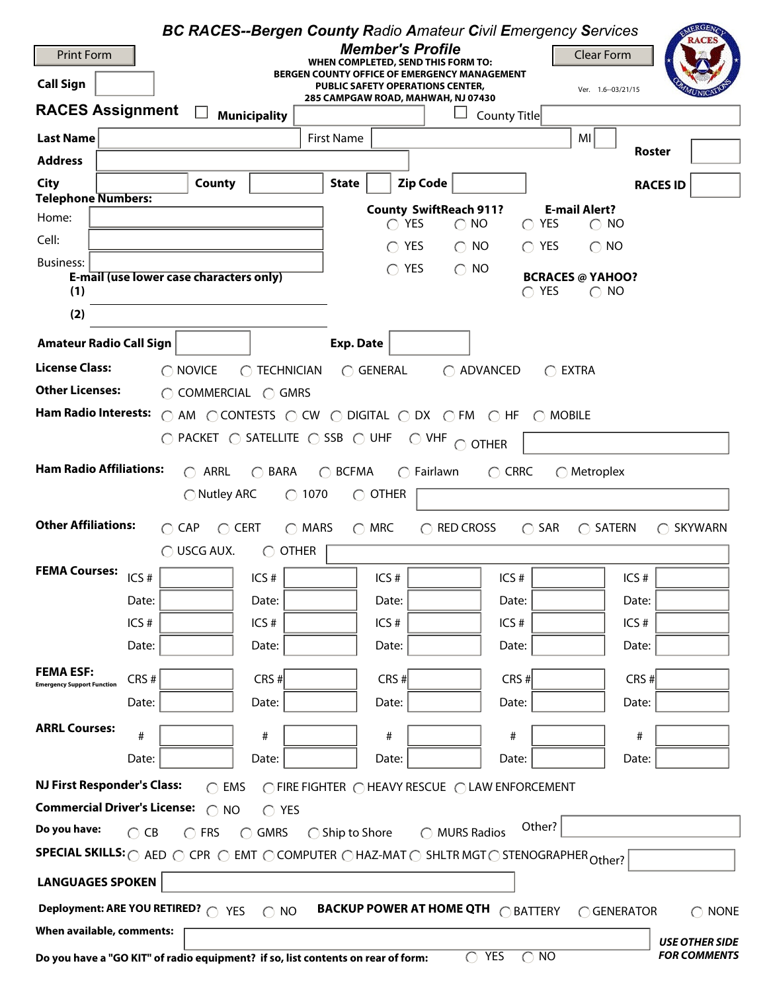| <b>BC RACES--Bergen County Radio Amateur Civil Emergency Services</b>                                                                               |                                                                                                                      |                                                   | AERGENC.<br><b>RACE</b>                                                        |  |  |  |  |  |
|-----------------------------------------------------------------------------------------------------------------------------------------------------|----------------------------------------------------------------------------------------------------------------------|---------------------------------------------------|--------------------------------------------------------------------------------|--|--|--|--|--|
| <b>Print Form</b>                                                                                                                                   | <b>Member's Profile</b><br>WHEN COMPLETED, SEND THIS FORM TO:                                                        |                                                   | <b>Clear Form</b>                                                              |  |  |  |  |  |
| <b>Call Sign</b>                                                                                                                                    | <b>BERGEN COUNTY OFFICE OF EMERGENCY MANAGEMENT</b><br><b>PUBLIC SAFETY OPERATIONS CENTER,</b><br>Ver. 1.6--03/21/15 |                                                   |                                                                                |  |  |  |  |  |
| <b>RACES Assignment</b><br><b>Municipality</b>                                                                                                      | 285 CAMPGAW ROAD, MAHWAH, NJ 07430                                                                                   | County Title                                      |                                                                                |  |  |  |  |  |
| <b>Last Name</b>                                                                                                                                    | <b>First Name</b>                                                                                                    |                                                   | MI                                                                             |  |  |  |  |  |
| <b>Address</b>                                                                                                                                      |                                                                                                                      |                                                   | Roster                                                                         |  |  |  |  |  |
| <b>City</b><br>County                                                                                                                               | <b>Zip Code</b><br><b>State</b>                                                                                      |                                                   | <b>RACES ID</b>                                                                |  |  |  |  |  |
| <b>Telephone Numbers:</b>                                                                                                                           | <b>County SwiftReach 911?</b>                                                                                        |                                                   | <b>E-mail Alert?</b>                                                           |  |  |  |  |  |
| Home:                                                                                                                                               | $\bigcap$ YES                                                                                                        | <b>YES</b><br>$\bigcirc$ NO<br>$\bigcirc$         | NO.<br>$\bigcirc$                                                              |  |  |  |  |  |
| Cell:                                                                                                                                               | <b>YES</b>                                                                                                           | $\bigcirc$ NO<br>$\bigcap$ YES                    | $\bigcap$ NO                                                                   |  |  |  |  |  |
| <b>Business:</b><br>E-mail (use lower case characters only)                                                                                         | <b>YES</b>                                                                                                           | <b>NO</b><br>$\bigcap$                            | <b>BCRACES @ YAHOO?</b>                                                        |  |  |  |  |  |
| (1)                                                                                                                                                 |                                                                                                                      | $\bigcap$ YES                                     | $\bigcirc$ NO                                                                  |  |  |  |  |  |
| (2)                                                                                                                                                 |                                                                                                                      |                                                   |                                                                                |  |  |  |  |  |
| <b>Amateur Radio Call Sign</b>                                                                                                                      | <b>Exp. Date</b>                                                                                                     |                                                   |                                                                                |  |  |  |  |  |
| <b>License Class:</b><br>$\bigcap$ NOVICE<br>$\bigcap$ TECHNICIAN                                                                                   | $\bigcirc$ General                                                                                                   | ◯ ADVANCED<br>$\bigcap$ EXTRA                     |                                                                                |  |  |  |  |  |
| <b>Other Licenses:</b><br>$\bigcirc$ COMMERCIAL $\bigcirc$ GMRS                                                                                     |                                                                                                                      |                                                   |                                                                                |  |  |  |  |  |
| Ham Radio Interests: C AM C CONTESTS C CW C DIGITAL C DX C FM C HF C MOBILE                                                                         |                                                                                                                      |                                                   |                                                                                |  |  |  |  |  |
| $\bigcirc$ packet $\bigcirc$ satellite $\bigcirc$ ssb $\bigcirc$ uhf                                                                                |                                                                                                                      | $\circlearrowright$ vhf $\circlearrowright$ other |                                                                                |  |  |  |  |  |
| <b>Ham Radio Affiliations:</b><br>$\bigcap$ ARRL                                                                                                    |                                                                                                                      |                                                   |                                                                                |  |  |  |  |  |
| <b>BARA</b><br>$\cap$                                                                                                                               | $\bigcirc$ BCFMA<br>$\bigcap$ Fairlawn<br>1070<br>$\bigcirc$ other                                                   | $\bigcap$ CRRC                                    | $\bigcap$ Metroplex                                                            |  |  |  |  |  |
| $\bigcirc$ Nutley ARC<br>$\bigcirc$                                                                                                                 |                                                                                                                      |                                                   |                                                                                |  |  |  |  |  |
| <b>Other Affiliations:</b><br>$\bigcirc$ CAP<br>$\bigcirc$ CERT<br>$\bigcirc$ MARS                                                                  | $\bigcirc$ MRC                                                                                                       | $\bigcap$ RED CROSS<br>$\bigcirc$ SAR             | SATERN<br><b>SKYWARN</b><br>◯<br>$\left( \begin{array}{c} \end{array} \right)$ |  |  |  |  |  |
| $\bigcap$ USCG AUX.<br><b>OTHER</b>                                                                                                                 |                                                                                                                      |                                                   |                                                                                |  |  |  |  |  |
| <b>FEMA Courses:</b><br>ICS#<br>ICS#                                                                                                                | ICS#                                                                                                                 | ICS#                                              | ICS#                                                                           |  |  |  |  |  |
| Date:<br>Date:                                                                                                                                      | Date:                                                                                                                | Date:                                             | Date:                                                                          |  |  |  |  |  |
| ICS#<br>ICS#                                                                                                                                        | ICS#                                                                                                                 | ICS#                                              | ICS#                                                                           |  |  |  |  |  |
| Date:<br>Date:                                                                                                                                      | Date:                                                                                                                | Date:                                             | Date:                                                                          |  |  |  |  |  |
| <b>FEMA ESF:</b><br>$CRS$ #<br>CRS#                                                                                                                 | $CRS$ #                                                                                                              | $CRS$ #                                           | CRS#                                                                           |  |  |  |  |  |
| <b>Emergency Support Function</b><br>Date:<br>Date:                                                                                                 | Date:                                                                                                                | Date:                                             | Date:                                                                          |  |  |  |  |  |
| <b>ARRL Courses:</b>                                                                                                                                |                                                                                                                      |                                                   |                                                                                |  |  |  |  |  |
| $\#$<br>#                                                                                                                                           | #                                                                                                                    | #                                                 | #                                                                              |  |  |  |  |  |
| Date:<br>Date:                                                                                                                                      | Date:                                                                                                                | Date:                                             | Date:                                                                          |  |  |  |  |  |
| <b>NJ First Responder's Class:</b><br>$\bigcap$ EMS                                                                                                 | ◯ FIRE FIGHTER ◯ HEAVY RESCUE ◯ LAW ENFORCEMENT                                                                      |                                                   |                                                                                |  |  |  |  |  |
| <b>Commercial Driver's License:</b><br>$\cap$<br><b>NO</b><br>$\bigcap$ YES                                                                         |                                                                                                                      |                                                   |                                                                                |  |  |  |  |  |
| Do you have:<br>$\bigcap$ CB<br>$\bigcap$ FRS<br><b>GMRS</b><br>◯                                                                                   | $\bigcap$ Ship to Shore<br>$\subset$                                                                                 | Other?<br><b>MURS Radios</b>                      |                                                                                |  |  |  |  |  |
| SPECIAL SKILLS: ○ AED ○ CPR ○ EMT ○ COMPUTER ○ HAZ-MAT ○ SHLTR MGT ○ STENOGRAPHER Other?                                                            |                                                                                                                      |                                                   |                                                                                |  |  |  |  |  |
| <b>LANGUAGES SPOKEN</b>                                                                                                                             |                                                                                                                      |                                                   |                                                                                |  |  |  |  |  |
| Deployment: ARE YOU RETIRED? @ YES<br><b>BACKUP POWER AT HOME QTH <math>\bigcap</math> BATTERY</b><br>$\bigcap$ NO<br>○ GENERATOR<br>$\bigcap$ NONE |                                                                                                                      |                                                   |                                                                                |  |  |  |  |  |
| When available, comments:<br><b>USE OTHER SIDE</b>                                                                                                  |                                                                                                                      |                                                   |                                                                                |  |  |  |  |  |
| <b>YES</b><br><b>FOR COMMENTS</b><br><b>NO</b><br>$\bigcap$<br>Do you have a "GO KIT" of radio equipment? if so, list contents on rear of form:     |                                                                                                                      |                                                   |                                                                                |  |  |  |  |  |